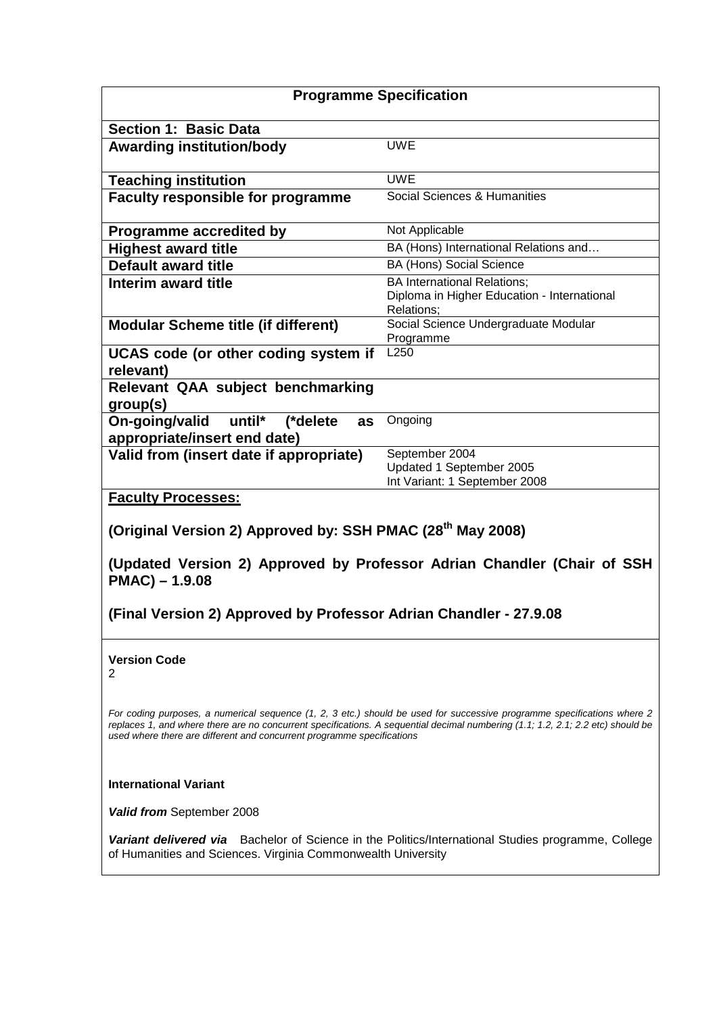|                                                                                             | <b>Programme Specification</b>                                                                                                                                                                                                                             |  |  |
|---------------------------------------------------------------------------------------------|------------------------------------------------------------------------------------------------------------------------------------------------------------------------------------------------------------------------------------------------------------|--|--|
| <b>Section 1: Basic Data</b>                                                                |                                                                                                                                                                                                                                                            |  |  |
| <b>Awarding institution/body</b>                                                            | <b>UWE</b>                                                                                                                                                                                                                                                 |  |  |
| <b>Teaching institution</b>                                                                 | <b>UWE</b>                                                                                                                                                                                                                                                 |  |  |
| <b>Faculty responsible for programme</b>                                                    | Social Sciences & Humanities                                                                                                                                                                                                                               |  |  |
| <b>Programme accredited by</b>                                                              | Not Applicable                                                                                                                                                                                                                                             |  |  |
| <b>Highest award title</b>                                                                  | BA (Hons) International Relations and                                                                                                                                                                                                                      |  |  |
| <b>Default award title</b>                                                                  | <b>BA (Hons) Social Science</b>                                                                                                                                                                                                                            |  |  |
| Interim award title                                                                         | <b>BA International Relations;</b><br>Diploma in Higher Education - International<br>Relations;                                                                                                                                                            |  |  |
| <b>Modular Scheme title (if different)</b>                                                  | Social Science Undergraduate Modular                                                                                                                                                                                                                       |  |  |
| UCAS code (or other coding system if<br>relevant)                                           | Programme<br>L <sub>250</sub>                                                                                                                                                                                                                              |  |  |
| Relevant QAA subject benchmarking<br>group(s)                                               |                                                                                                                                                                                                                                                            |  |  |
| On-going/valid<br>until* (*delete<br>as<br>appropriate/insert end date)                     | Ongoing                                                                                                                                                                                                                                                    |  |  |
| Valid from (insert date if appropriate)                                                     | September 2004<br>Updated 1 September 2005<br>Int Variant: 1 September 2008                                                                                                                                                                                |  |  |
| <b>Faculty Processes:</b>                                                                   |                                                                                                                                                                                                                                                            |  |  |
| (Original Version 2) Approved by: SSH PMAC (28 <sup>th</sup> May 2008)<br>$PMAC$ ) - 1.9.08 | (Updated Version 2) Approved by Professor Adrian Chandler (Chair of SSH                                                                                                                                                                                    |  |  |
| (Final Version 2) Approved by Professor Adrian Chandler - 27.9.08                           |                                                                                                                                                                                                                                                            |  |  |
| <b>Version Code</b><br>2                                                                    |                                                                                                                                                                                                                                                            |  |  |
| used where there are different and concurrent programme specifications                      | For coding purposes, a numerical sequence (1, 2, 3 etc.) should be used for successive programme specifications where 2<br>replaces 1, and where there are no concurrent specifications. A sequential decimal numbering (1.1; 1.2, 2.1; 2.2 etc) should be |  |  |
| <b>International Variant</b>                                                                |                                                                                                                                                                                                                                                            |  |  |

**Valid from** September 2008

**Variant delivered via** Bachelor of Science in the Politics/International Studies programme, College of Humanities and Sciences. Virginia Commonwealth University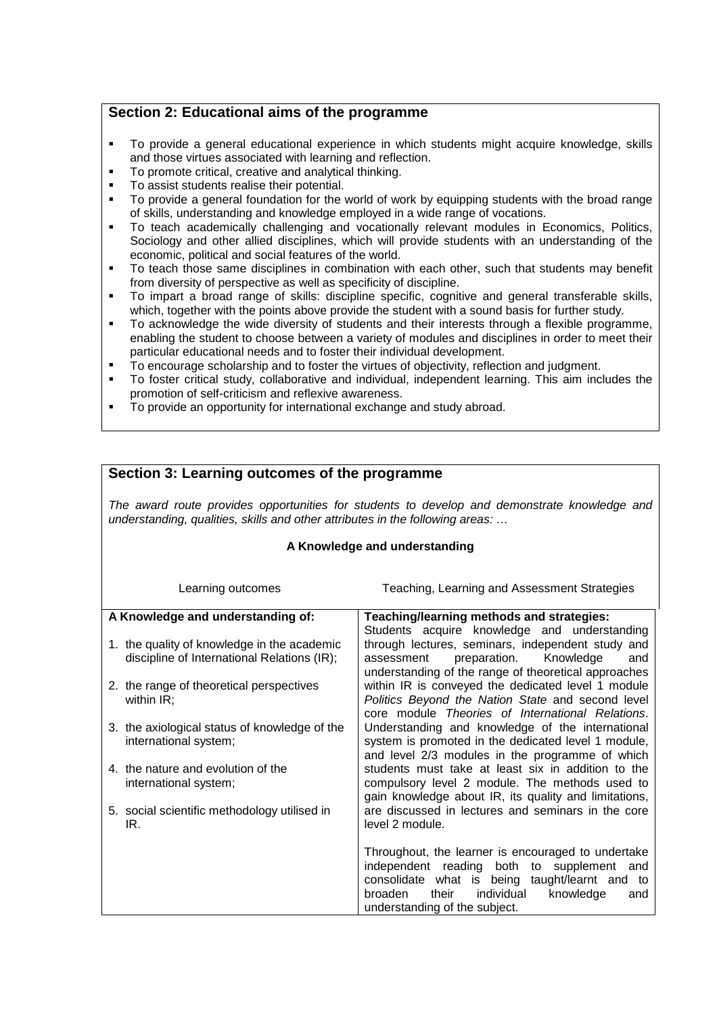# **Section 2: Educational aims of the programme**

- To provide a general educational experience in which students might acquire knowledge, skills and those virtues associated with learning and reflection.
- To promote critical, creative and analytical thinking.
- **To assist students realise their potential.**
- To provide a general foundation for the world of work by equipping students with the broad range of skills, understanding and knowledge employed in a wide range of vocations.
- To teach academically challenging and vocationally relevant modules in Economics, Politics, Sociology and other allied disciplines, which will provide students with an understanding of the economic, political and social features of the world.
- To teach those same disciplines in combination with each other, such that students may benefit from diversity of perspective as well as specificity of discipline.
- To impart a broad range of skills: discipline specific, cognitive and general transferable skills, which, together with the points above provide the student with a sound basis for further study.
- To acknowledge the wide diversity of students and their interests through a flexible programme, enabling the student to choose between a variety of modules and disciplines in order to meet their particular educational needs and to foster their individual development.
- To encourage scholarship and to foster the virtues of objectivity, reflection and judgment.
- To foster critical study, collaborative and individual, independent learning. This aim includes the promotion of self-criticism and reflexive awareness.
- To provide an opportunity for international exchange and study abroad.

| Section 3: Learning outcomes of the programme                                                                                                                                 |                                                                                                                                                                                                                                              |  |  |
|-------------------------------------------------------------------------------------------------------------------------------------------------------------------------------|----------------------------------------------------------------------------------------------------------------------------------------------------------------------------------------------------------------------------------------------|--|--|
| The award route provides opportunities for students to develop and demonstrate knowledge and<br>understanding, qualities, skills and other attributes in the following areas: |                                                                                                                                                                                                                                              |  |  |
| A Knowledge and understanding                                                                                                                                                 |                                                                                                                                                                                                                                              |  |  |
| Learning outcomes                                                                                                                                                             | Teaching, Learning and Assessment Strategies                                                                                                                                                                                                 |  |  |
| A Knowledge and understanding of:                                                                                                                                             | Teaching/learning methods and strategies:                                                                                                                                                                                                    |  |  |
| 1. the quality of knowledge in the academic<br>discipline of International Relations (IR);                                                                                    | Students acquire knowledge and understanding<br>through lectures, seminars, independent study and<br>preparation.<br>Knowledge<br>assessment<br>and<br>understanding of the range of theoretical approaches                                  |  |  |
| 2. the range of theoretical perspectives<br>within IR;                                                                                                                        | within IR is conveyed the dedicated level 1 module<br>Politics Beyond the Nation State and second level<br>core module Theories of International Relations.                                                                                  |  |  |
| 3. the axiological status of knowledge of the<br>international system;                                                                                                        | Understanding and knowledge of the international<br>system is promoted in the dedicated level 1 module,<br>and level 2/3 modules in the programme of which                                                                                   |  |  |
| 4. the nature and evolution of the<br>international system;                                                                                                                   | students must take at least six in addition to the<br>compulsory level 2 module. The methods used to<br>gain knowledge about IR, its quality and limitations,                                                                                |  |  |
| 5. social scientific methodology utilised in<br>IR.                                                                                                                           | are discussed in lectures and seminars in the core<br>level 2 module.                                                                                                                                                                        |  |  |
|                                                                                                                                                                               | Throughout, the learner is encouraged to undertake<br>independent reading both to supplement<br>and<br>consolidate what is being taught/learnt and to<br>broaden<br>their<br>individual<br>knowledge<br>and<br>understanding of the subject. |  |  |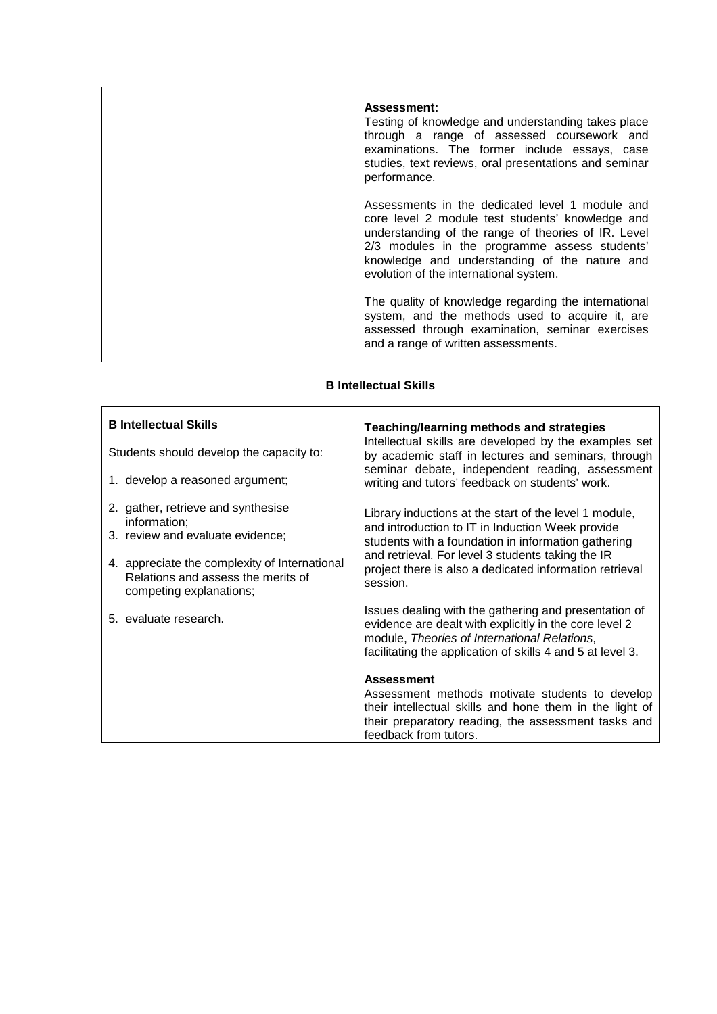| <b>Assessment:</b><br>Testing of knowledge and understanding takes place<br>through a range of assessed coursework and<br>examinations. The former include essays, case<br>studies, text reviews, oral presentations and seminar<br>performance.                                                       |
|--------------------------------------------------------------------------------------------------------------------------------------------------------------------------------------------------------------------------------------------------------------------------------------------------------|
| Assessments in the dedicated level 1 module and<br>core level 2 module test students' knowledge and<br>understanding of the range of theories of IR. Level<br>2/3 modules in the programme assess students'<br>knowledge and understanding of the nature and<br>evolution of the international system. |
| The quality of knowledge regarding the international<br>system, and the methods used to acquire it, are<br>assessed through examination, seminar exercises<br>and a range of written assessments.                                                                                                      |

#### **B Intellectual Skills**

 $\blacksquare$ 

 $\overline{1}$ 

| <b>B</b> Intellectual Skills                                                                                                                                                                             | Teaching/learning methods and strategies<br>Intellectual skills are developed by the examples set                                                                                                                                                                                                                                                                                                                                                |  |
|----------------------------------------------------------------------------------------------------------------------------------------------------------------------------------------------------------|--------------------------------------------------------------------------------------------------------------------------------------------------------------------------------------------------------------------------------------------------------------------------------------------------------------------------------------------------------------------------------------------------------------------------------------------------|--|
| Students should develop the capacity to:<br>1. develop a reasoned argument;                                                                                                                              | by academic staff in lectures and seminars, through<br>seminar debate, independent reading, assessment<br>writing and tutors' feedback on students' work.                                                                                                                                                                                                                                                                                        |  |
| 2. gather, retrieve and synthesise<br>information;<br>3. review and evaluate evidence;<br>4. appreciate the complexity of International<br>Relations and assess the merits of<br>competing explanations; | Library inductions at the start of the level 1 module,<br>and introduction to IT in Induction Week provide<br>students with a foundation in information gathering<br>and retrieval. For level 3 students taking the IR<br>project there is also a dedicated information retrieval<br>session.                                                                                                                                                    |  |
| 5. evaluate research.                                                                                                                                                                                    | Issues dealing with the gathering and presentation of<br>evidence are dealt with explicitly in the core level 2<br>module, Theories of International Relations,<br>facilitating the application of skills 4 and 5 at level 3.<br><b>Assessment</b><br>Assessment methods motivate students to develop<br>their intellectual skills and hone them in the light of<br>their preparatory reading, the assessment tasks and<br>feedback from tutors. |  |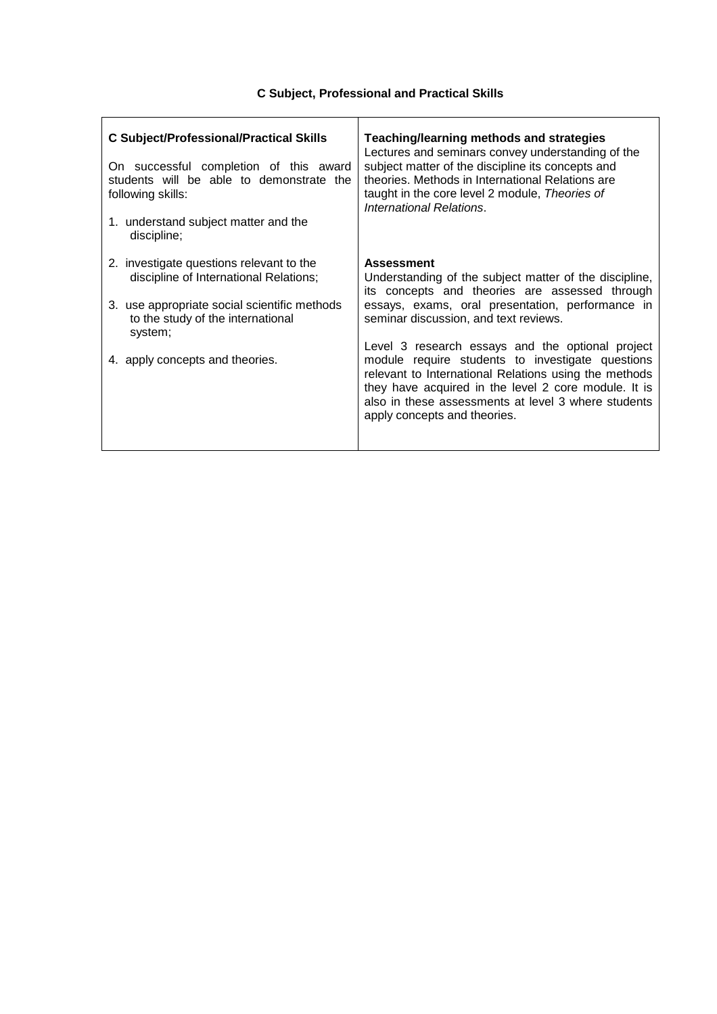# **C Subject, Professional and Practical Skills**

| <b>C Subject/Professional/Practical Skills</b><br>On successful completion of this award<br>students will be able to demonstrate the<br>following skills:<br>1. understand subject matter and the<br>discipline;      | <b>Teaching/learning methods and strategies</b><br>Lectures and seminars convey understanding of the<br>subject matter of the discipline its concepts and<br>theories. Methods in International Relations are<br>taught in the core level 2 module, Theories of<br>International Relations.                                                                                                 |
|-----------------------------------------------------------------------------------------------------------------------------------------------------------------------------------------------------------------------|---------------------------------------------------------------------------------------------------------------------------------------------------------------------------------------------------------------------------------------------------------------------------------------------------------------------------------------------------------------------------------------------|
| 2. investigate questions relevant to the<br>discipline of International Relations;<br>3. use appropriate social scientific methods<br>to the study of the international<br>system;<br>4. apply concepts and theories. | <b>Assessment</b><br>Understanding of the subject matter of the discipline,<br>its concepts and theories are assessed through<br>essays, exams, oral presentation, performance in<br>seminar discussion, and text reviews.<br>Level 3 research essays and the optional project<br>module require students to investigate questions<br>relevant to International Relations using the methods |
|                                                                                                                                                                                                                       | they have acquired in the level 2 core module. It is<br>also in these assessments at level 3 where students<br>apply concepts and theories.                                                                                                                                                                                                                                                 |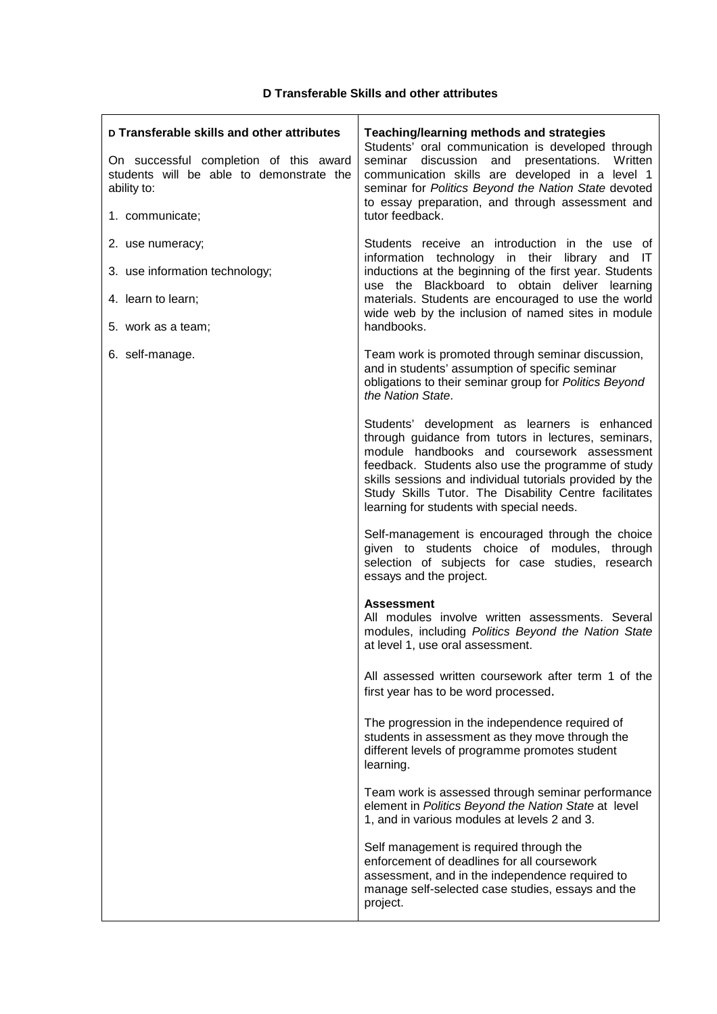| D Transferable skills and other attributes<br>On successful completion of this award<br>students will be able to demonstrate the<br>ability to:<br>1. communicate; | Teaching/learning methods and strategies<br>Students' oral communication is developed through<br>discussion and presentations. Written<br>seminar<br>communication skills are developed in a level 1<br>seminar for Politics Beyond the Nation State devoted<br>to essay preparation, and through assessment and<br>tutor feedback.                                        |
|--------------------------------------------------------------------------------------------------------------------------------------------------------------------|----------------------------------------------------------------------------------------------------------------------------------------------------------------------------------------------------------------------------------------------------------------------------------------------------------------------------------------------------------------------------|
| 2. use numeracy;<br>3. use information technology;<br>4. learn to learn;<br>5. work as a team;                                                                     | Students receive an introduction in the use of<br>information technology in their<br>library<br>and<br>-IT<br>inductions at the beginning of the first year. Students<br>use the Blackboard to obtain deliver learning<br>materials. Students are encouraged to use the world<br>wide web by the inclusion of named sites in module<br>handbooks.                          |
| 6. self-manage.                                                                                                                                                    | Team work is promoted through seminar discussion,<br>and in students' assumption of specific seminar<br>obligations to their seminar group for Politics Beyond<br>the Nation State.                                                                                                                                                                                        |
|                                                                                                                                                                    | Students' development as learners is enhanced<br>through guidance from tutors in lectures, seminars,<br>module handbooks and coursework assessment<br>feedback. Students also use the programme of study<br>skills sessions and individual tutorials provided by the<br>Study Skills Tutor. The Disability Centre facilitates<br>learning for students with special needs. |
|                                                                                                                                                                    | Self-management is encouraged through the choice<br>given to students choice of modules, through<br>selection of subjects for case studies, research<br>essays and the project.                                                                                                                                                                                            |
|                                                                                                                                                                    | <b>Assessment</b><br>All modules involve written assessments. Several<br>modules, including Politics Beyond the Nation State<br>at level 1, use oral assessment.                                                                                                                                                                                                           |
|                                                                                                                                                                    | All assessed written coursework after term 1 of the<br>first year has to be word processed.                                                                                                                                                                                                                                                                                |
|                                                                                                                                                                    | The progression in the independence required of<br>students in assessment as they move through the<br>different levels of programme promotes student<br>learning.                                                                                                                                                                                                          |
|                                                                                                                                                                    | Team work is assessed through seminar performance<br>element in Politics Beyond the Nation State at level<br>1, and in various modules at levels 2 and 3.                                                                                                                                                                                                                  |
|                                                                                                                                                                    | Self management is required through the<br>enforcement of deadlines for all coursework<br>assessment, and in the independence required to<br>manage self-selected case studies, essays and the<br>project.                                                                                                                                                                 |

### **D Transferable Skills and other attributes**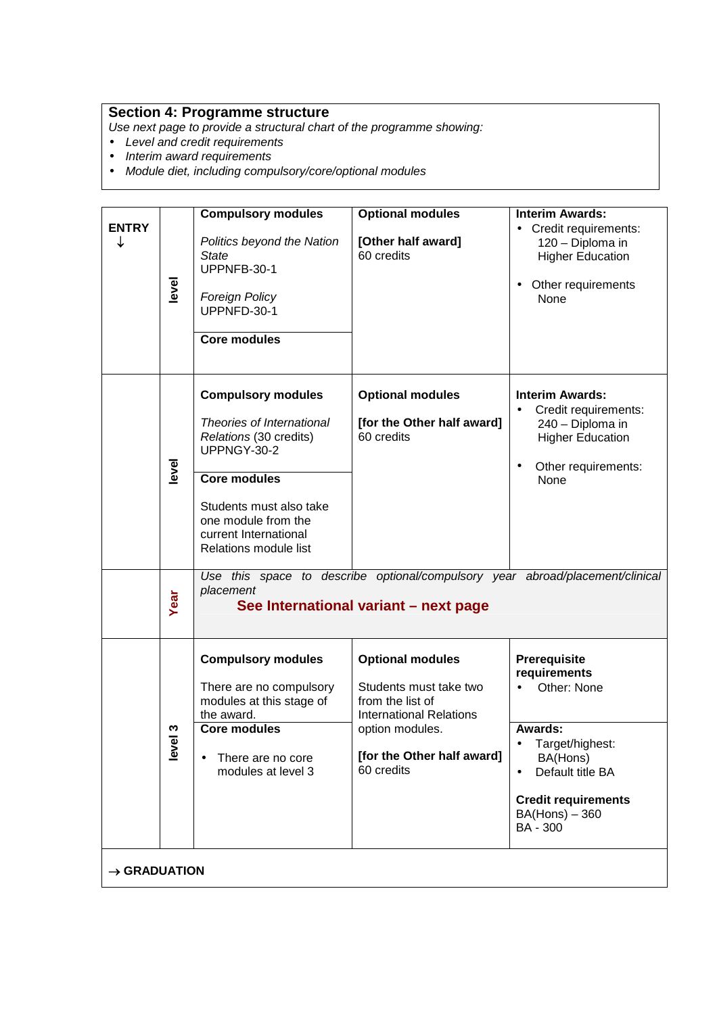## **Section 4: Programme structure**

Use next page to provide a structural chart of the programme showing:

- Level and credit requirements
- Interim award requirements
- Module diet, including compulsory/core/optional modules

|                          |            | <b>Compulsory modules</b>                                                                                                                                                                                                  | <b>Optional modules</b>                                                                                                                                                | <b>Interim Awards:</b>                                                                                                                                                                |
|--------------------------|------------|----------------------------------------------------------------------------------------------------------------------------------------------------------------------------------------------------------------------------|------------------------------------------------------------------------------------------------------------------------------------------------------------------------|---------------------------------------------------------------------------------------------------------------------------------------------------------------------------------------|
| <b>ENTRY</b><br>↓        | level      | Politics beyond the Nation<br><b>State</b><br>UPPNFB-30-1<br><b>Foreign Policy</b><br>UPPNFD-30-1<br><b>Core modules</b>                                                                                                   | [Other half award]<br>60 credits                                                                                                                                       | • Credit requirements:<br>120 - Diploma in<br><b>Higher Education</b><br>Other requirements<br>None                                                                                   |
|                          | level      | <b>Compulsory modules</b><br>Theories of International<br>Relations (30 credits)<br>UPPNGY-30-2<br><b>Core modules</b><br>Students must also take<br>one module from the<br>current International<br>Relations module list | <b>Optional modules</b><br>[for the Other half award]<br>60 credits                                                                                                    | <b>Interim Awards:</b><br>Credit requirements:<br>240 - Diploma in<br><b>Higher Education</b><br>Other requirements:<br>$\bullet$<br>None                                             |
|                          | Year       | Use this space to describe optional/compulsory year abroad/placement/clinical<br>placement<br>See International variant - next page                                                                                        |                                                                                                                                                                        |                                                                                                                                                                                       |
|                          | ო<br>level | <b>Compulsory modules</b><br>There are no compulsory<br>modules at this stage of<br>the award.<br><b>Core modules</b><br>There are no core<br>$\bullet$<br>modules at level 3                                              | <b>Optional modules</b><br>Students must take two<br>from the list of<br><b>International Relations</b><br>option modules.<br>[for the Other half award]<br>60 credits | Prerequisite<br>requirements<br>Other: None<br><b>Awards:</b><br>Target/highest:<br>BA(Hons)<br>Default title BA<br><b>Credit requirements</b><br>$BA(Hons) - 360$<br><b>BA - 300</b> |
| $\rightarrow$ GRADUATION |            |                                                                                                                                                                                                                            |                                                                                                                                                                        |                                                                                                                                                                                       |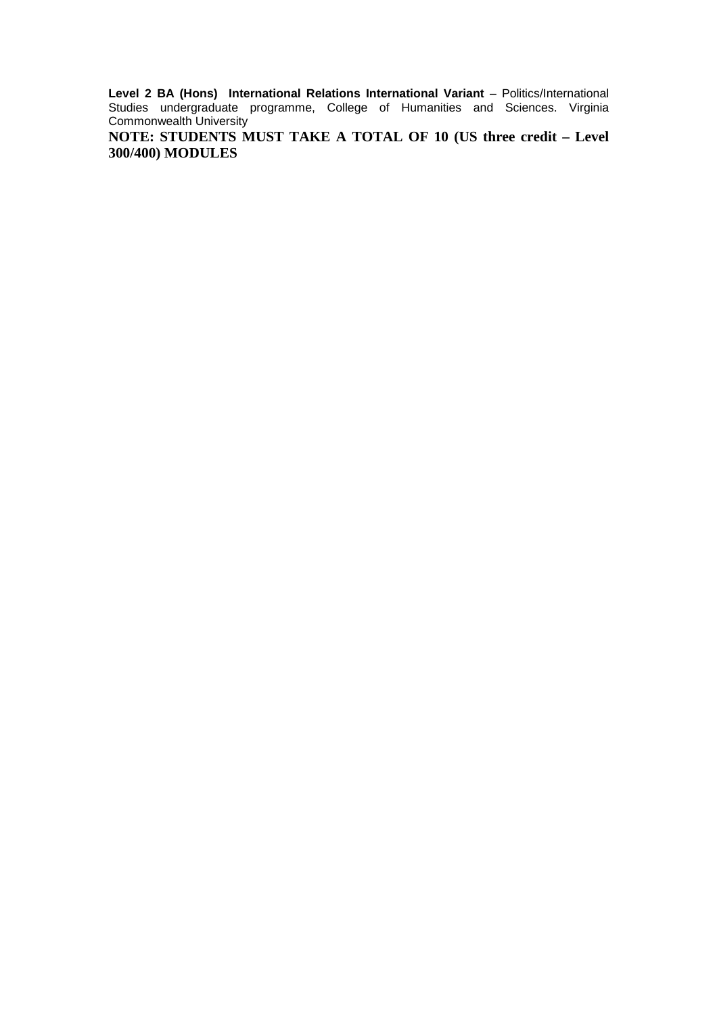**Level 2 BA (Hons) International Relations International Variant** – Politics/International Studies undergraduate programme, College of Humanities and Sciences. Virginia Commonwealth University

**NOTE: STUDENTS MUST TAKE A TOTAL OF 10 (US three credit – Level 300/400) MODULES**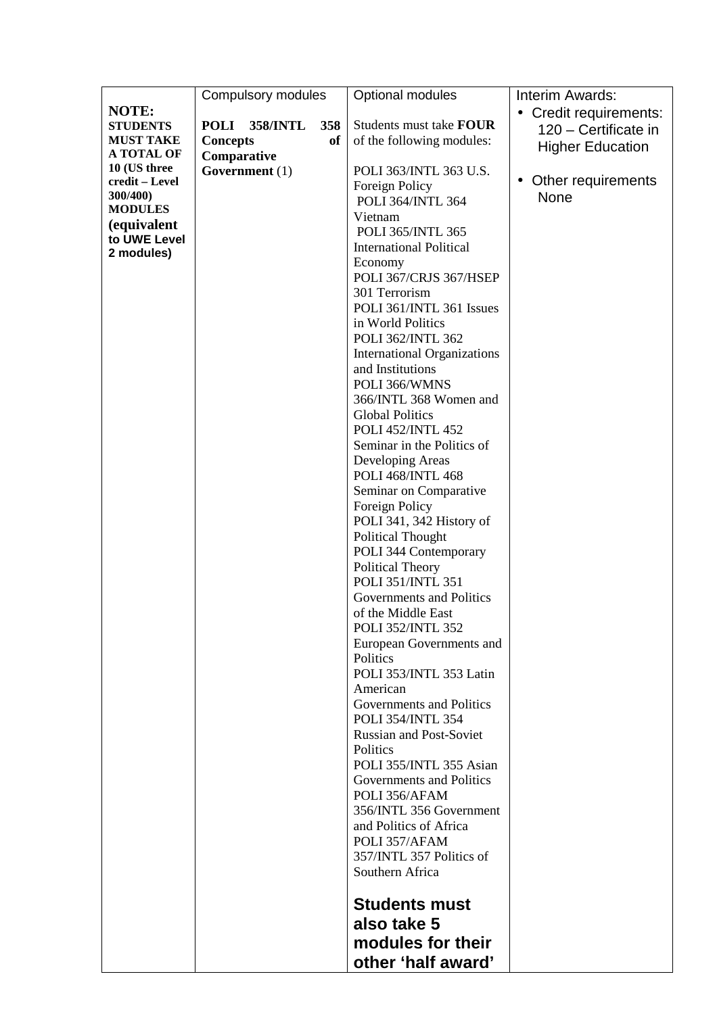|                             | Compulsory modules             |           | Optional modules                   | Interim Awards:                 |
|-----------------------------|--------------------------------|-----------|------------------------------------|---------------------------------|
| <b>NOTE:</b>                |                                |           |                                    | • Credit requirements:          |
| <b>STUDENTS</b>             | <b>POLI</b><br><b>358/INTL</b> | 358       | Students must take FOUR            | 120 - Certificate in            |
| <b>MUST TAKE</b>            | <b>Concepts</b>                | <b>of</b> | of the following modules:          | <b>Higher Education</b>         |
| <b>A TOTAL OF</b>           | Comparative                    |           |                                    |                                 |
| 10 (US three                | Government $(1)$               |           | POLI 363/INTL 363 U.S.             |                                 |
| credit - Level              |                                |           | Foreign Policy                     | Other requirements<br>$\bullet$ |
| 300/400)<br><b>MODULES</b>  |                                |           | <b>POLI 364/INTL 364</b>           | None                            |
|                             |                                |           | Vietnam                            |                                 |
| (equivalent<br>to UWE Level |                                |           | POLI 365/INTL 365                  |                                 |
| 2 modules)                  |                                |           | <b>International Political</b>     |                                 |
|                             |                                |           | Economy                            |                                 |
|                             |                                |           | POLI 367/CRJS 367/HSEP             |                                 |
|                             |                                |           | 301 Terrorism                      |                                 |
|                             |                                |           | POLI 361/INTL 361 Issues           |                                 |
|                             |                                |           | in World Politics                  |                                 |
|                             |                                |           | POLI 362/INTL 362                  |                                 |
|                             |                                |           | <b>International Organizations</b> |                                 |
|                             |                                |           | and Institutions                   |                                 |
|                             |                                |           | POLI 366/WMNS                      |                                 |
|                             |                                |           | 366/INTL 368 Women and             |                                 |
|                             |                                |           | <b>Global Politics</b>             |                                 |
|                             |                                |           | <b>POLI 452/INTL 452</b>           |                                 |
|                             |                                |           | Seminar in the Politics of         |                                 |
|                             |                                |           | Developing Areas                   |                                 |
|                             |                                |           | <b>POLI 468/INTL 468</b>           |                                 |
|                             |                                |           | Seminar on Comparative             |                                 |
|                             |                                |           | Foreign Policy                     |                                 |
|                             |                                |           | POLI 341, 342 History of           |                                 |
|                             |                                |           | <b>Political Thought</b>           |                                 |
|                             |                                |           | POLI 344 Contemporary              |                                 |
|                             |                                |           | Political Theory                   |                                 |
|                             |                                |           | POLI 351/INTL 351                  |                                 |
|                             |                                |           | Governments and Politics           |                                 |
|                             |                                |           | of the Middle East                 |                                 |
|                             |                                |           | <b>POLI 352/INTL 352</b>           |                                 |
|                             |                                |           | European Governments and           |                                 |
|                             |                                |           | Politics                           |                                 |
|                             |                                |           | POLI 353/INTL 353 Latin            |                                 |
|                             |                                |           | American                           |                                 |
|                             |                                |           | Governments and Politics           |                                 |
|                             |                                |           | <b>POLI 354/INTL 354</b>           |                                 |
|                             |                                |           | <b>Russian and Post-Soviet</b>     |                                 |
|                             |                                |           | <b>Politics</b>                    |                                 |
|                             |                                |           | POLI 355/INTL 355 Asian            |                                 |
|                             |                                |           | Governments and Politics           |                                 |
|                             |                                |           | POLI 356/AFAM                      |                                 |
|                             |                                |           | 356/INTL 356 Government            |                                 |
|                             |                                |           | and Politics of Africa             |                                 |
|                             |                                |           | POLI 357/AFAM                      |                                 |
|                             |                                |           | 357/INTL 357 Politics of           |                                 |
|                             |                                |           | Southern Africa                    |                                 |
|                             |                                |           | <b>Students must</b>               |                                 |
|                             |                                |           |                                    |                                 |
|                             |                                |           | also take 5                        |                                 |
|                             |                                |           | modules for their                  |                                 |
|                             |                                |           | other 'half award'                 |                                 |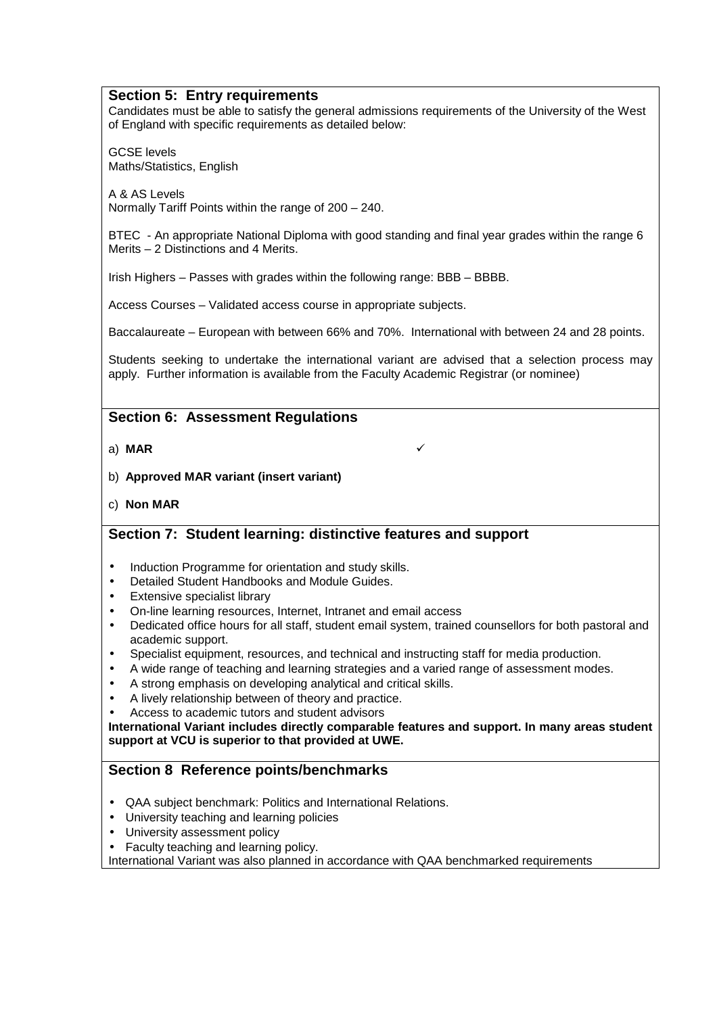#### **Section 5: Entry requirements**

Candidates must be able to satisfy the general admissions requirements of the University of the West of England with specific requirements as detailed below:

GCSE levels Maths/Statistics, English

A & AS Levels Normally Tariff Points within the range of 200 – 240.

BTEC - An appropriate National Diploma with good standing and final year grades within the range 6 Merits – 2 Distinctions and 4 Merits.

Irish Highers – Passes with grades within the following range: BBB – BBBB.

Access Courses – Validated access course in appropriate subjects.

Baccalaureate – European with between 66% and 70%. International with between 24 and 28 points.

Students seeking to undertake the international variant are advised that a selection process may apply. Further information is available from the Faculty Academic Registrar (or nominee)

## **Section 6: Assessment Regulations**

a) **MAR**

- b) **Approved MAR variant (insert variant)**
- c) **Non MAR**

# **Section 7: Student learning: distinctive features and support**

- Induction Programme for orientation and study skills.
- Detailed Student Handbooks and Module Guides.
- **Extensive specialist library**
- On-line learning resources, Internet, Intranet and email access
- Dedicated office hours for all staff, student email system, trained counsellors for both pastoral and academic support.
- Specialist equipment, resources, and technical and instructing staff for media production.
- A wide range of teaching and learning strategies and a varied range of assessment modes.
- A strong emphasis on developing analytical and critical skills.
- A lively relationship between of theory and practice.
- Access to academic tutors and student advisors

**International Variant includes directly comparable features and support. In many areas student support at VCU is superior to that provided at UWE.**

# **Section 8 Reference points/benchmarks**

- QAA subject benchmark: Politics and International Relations.
- University teaching and learning policies
- University assessment policy
- Faculty teaching and learning policy.

International Variant was also planned in accordance with QAA benchmarked requirements